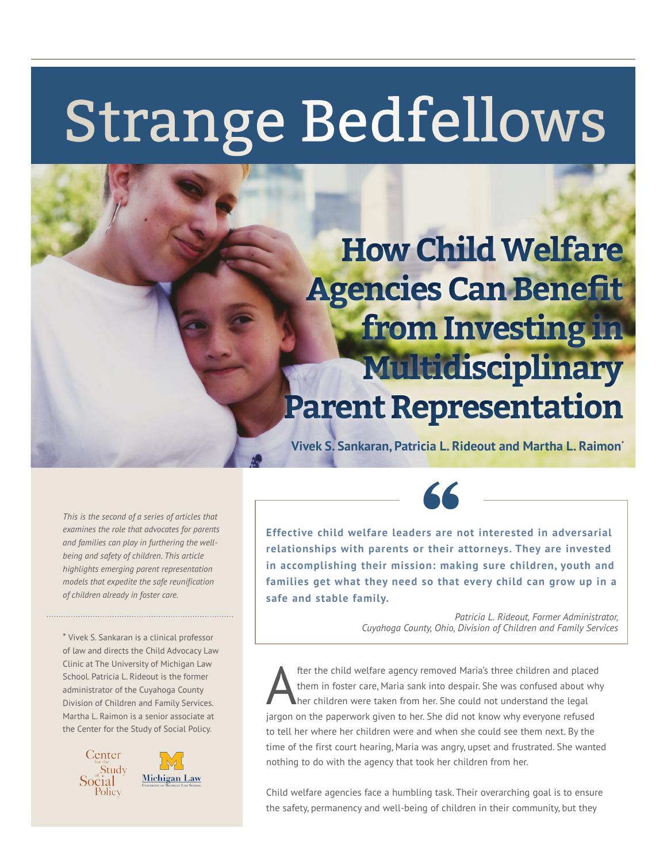## Strange Bedfellows

### **How Child Welfare Agencies Can Benefit from Investing in Multidisciplinary Parent Representation**

**Vivek S. Sankaran, Patricia L. Rideout and Martha L. Raimon\***

*This is the second of a series of articles that examines the role that advocates for parents and families can play in furthering the wellbeing and safety of children. This article highlights emerging parent representation models that expedite the safe reunification of children already in foster care.*

\* Vivek S. Sankaran is a clinical professor of law and directs the Child Advocacy Law Clinic at The University of Michigan Law School. Patricia L. Rideout is the former administrator of the Cuyahoga County Division of Children and Family Services. Martha L. Raimon is a senior associate at the Center for the Study of Social Policy.



**Effective child welfare leaders are not interested in adversarial relationships with parents or their attorneys. They are invested in accomplishing their mission: making sure children, youth and families get what they need so that every child can grow up in a safe and stable family.**

"

*Patricia L. Rideout, Former Administrator, Cuyahoga County, Ohio, Division of Children and Family Services* 

**After the child welfare agency removed Maria's three children and placed**<br>
them in foster care, Maria sank into despair. She was confused about why<br>
her children were taken from her. She could not understand the legal<br>
th them in foster care, Maria sank into despair. She was confused about why jargon on the paperwork given to her. She did not know why everyone refused to tell her where her children were and when she could see them next. By the time of the first court hearing, Maria was angry, upset and frustrated. She wanted nothing to do with the agency that took her children from her.

Child welfare agencies face a humbling task. Their overarching goal is to ensure the safety, permanency and well-being of children in their community, but they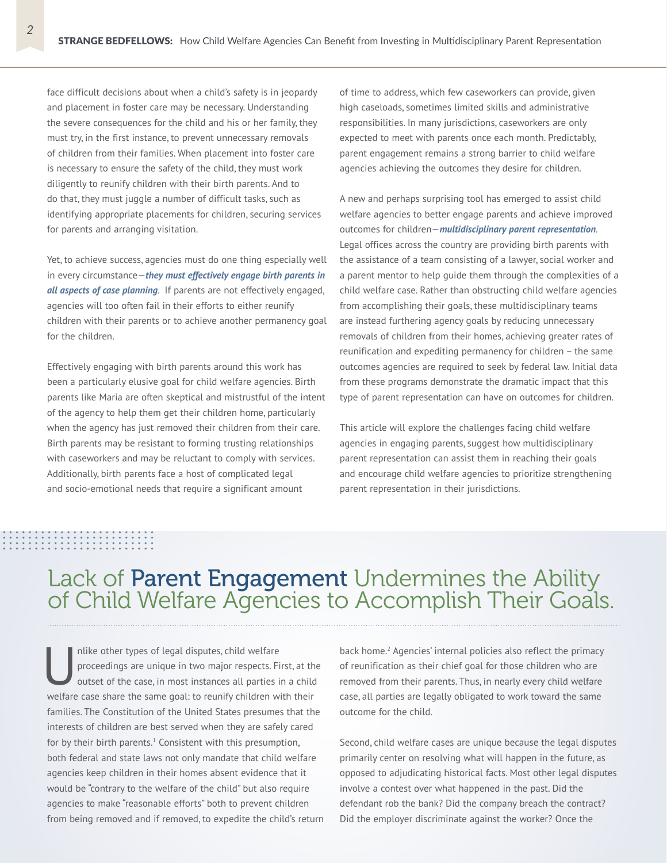face difficult decisions about when a child's safety is in jeopardy and placement in foster care may be necessary. Understanding the severe consequences for the child and his or her family, they must try, in the first instance, to prevent unnecessary removals of children from their families. When placement into foster care is necessary to ensure the safety of the child, they must work diligently to reunify children with their birth parents. And to do that, they must juggle a number of difficult tasks, such as identifying appropriate placements for children, securing services for parents and arranging visitation.

Yet, to achieve success, agencies must do one thing especially well in every circumstance—*they must effectively engage birth parents in all aspects of case planning*. If parents are not effectively engaged, agencies will too often fail in their efforts to either reunify children with their parents or to achieve another permanency goal for the children.

Effectively engaging with birth parents around this work has been a particularly elusive goal for child welfare agencies. Birth parents like Maria are often skeptical and mistrustful of the intent of the agency to help them get their children home, particularly when the agency has just removed their children from their care. Birth parents may be resistant to forming trusting relationships with caseworkers and may be reluctant to comply with services. Additionally, birth parents face a host of complicated legal and socio-emotional needs that require a significant amount

of time to address, which few caseworkers can provide, given high caseloads, sometimes limited skills and administrative responsibilities. In many jurisdictions, caseworkers are only expected to meet with parents once each month. Predictably, parent engagement remains a strong barrier to child welfare agencies achieving the outcomes they desire for children.

A new and perhaps surprising tool has emerged to assist child welfare agencies to better engage parents and achieve improved outcomes for children—*multidisciplinary parent representation*. Legal offices across the country are providing birth parents with the assistance of a team consisting of a lawyer, social worker and a parent mentor to help guide them through the complexities of a child welfare case. Rather than obstructing child welfare agencies from accomplishing their goals, these multidisciplinary teams are instead furthering agency goals by reducing unnecessary removals of children from their homes, achieving greater rates of reunification and expediting permanency for children – the same outcomes agencies are required to seek by federal law. Initial data from these programs demonstrate the dramatic impact that this type of parent representation can have on outcomes for children.

This article will explore the challenges facing child welfare agencies in engaging parents, suggest how multidisciplinary parent representation can assist them in reaching their goals and encourage child welfare agencies to prioritize strengthening parent representation in their jurisdictions.

## Lack of Parent Engagement Undermines the Ability of Child Welfare Agencies to Accomplish Their Goals.

Inlike other types of legal disputes, child welfare<br>proceedings are unique in two major respects. Fi<br>outset of the case, in most instances all parties in<br>the most interest in the case of the state of the state of proceedings are unique in two major respects. First, at the outset of the case, in most instances all parties in a child welfare case share the same goal: to reunify children with their families. The Constitution of the United States presumes that the interests of children are best served when they are safely cared for by their birth parents. $^1$  Consistent with this presumption, both federal and state laws not only mandate that child welfare agencies keep children in their homes absent evidence that it would be "contrary to the welfare of the child" but also require agencies to make "reasonable efforts" both to prevent children from being removed and if removed, to expedite the child's return

back home.<sup>2</sup> Agencies' internal policies also reflect the primacy of reunification as their chief goal for those children who are removed from their parents. Thus, in nearly every child welfare case, all parties are legally obligated to work toward the same outcome for the child.

Second, child welfare cases are unique because the legal disputes primarily center on resolving what will happen in the future, as opposed to adjudicating historical facts. Most other legal disputes involve a contest over what happened in the past. Did the defendant rob the bank? Did the company breach the contract? Did the employer discriminate against the worker? Once the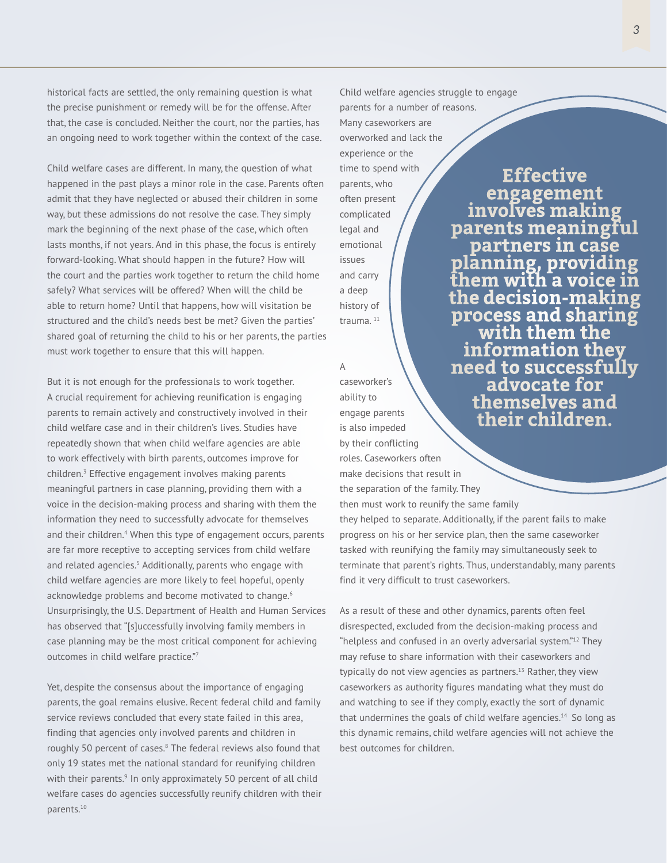historical facts are settled, the only remaining question is what the precise punishment or remedy will be for the offense. After that, the case is concluded. Neither the court, nor the parties, has an ongoing need to work together within the context of the case.

Child welfare cases are different. In many, the question of what happened in the past plays a minor role in the case. Parents often admit that they have neglected or abused their children in some way, but these admissions do not resolve the case. They simply mark the beginning of the next phase of the case, which often lasts months, if not years. And in this phase, the focus is entirely forward-looking. What should happen in the future? How will the court and the parties work together to return the child home safely? What services will be offered? When will the child be able to return home? Until that happens, how will visitation be structured and the child's needs best be met? Given the parties' shared goal of returning the child to his or her parents, the parties must work together to ensure that this will happen.

But it is not enough for the professionals to work together. A crucial requirement for achieving reunification is engaging parents to remain actively and constructively involved in their child welfare case and in their children's lives. Studies have repeatedly shown that when child welfare agencies are able to work effectively with birth parents, outcomes improve for children.3 Effective engagement involves making parents meaningful partners in case planning, providing them with a voice in the decision-making process and sharing with them the information they need to successfully advocate for themselves and their children.<sup>4</sup> When this type of engagement occurs, parents are far more receptive to accepting services from child welfare and related agencies.<sup>5</sup> Additionally, parents who engage with child welfare agencies are more likely to feel hopeful, openly acknowledge problems and become motivated to change.<sup>6</sup> Unsurprisingly, the U.S. Department of Health and Human Services has observed that "[s]uccessfully involving family members in case planning may be the most critical component for achieving outcomes in child welfare practice."7

Yet, despite the consensus about the importance of engaging parents, the goal remains elusive. Recent federal child and family service reviews concluded that every state failed in this area, finding that agencies only involved parents and children in roughly 50 percent of cases.<sup>8</sup> The federal reviews also found that only 19 states met the national standard for reunifying children with their parents.<sup>9</sup> In only approximately 50 percent of all child welfare cases do agencies successfully reunify children with their parents.10

Child welfare agencies struggle to engage parents for a number of reasons. Many caseworkers are overworked and lack the experience or the time to spend with parents, who often present complicated legal and emotional issues and carry a deep history of trauma.<sup>11</sup> **Effective involves making parents meaningful partners in case planning, providing them with a voice in the decision-making process and sharing with them the information they** 

#### A

caseworker's ability to engage parents is also impeded by their conflicting roles. Caseworkers often make decisions that result in the separation of the family. They then must work to reunify the same family **need to successfully advocate for** 

they helped to separate. Additionally, if the parent fails to make progress on his or her service plan, then the same caseworker tasked with reunifying the family may simultaneously seek to terminate that parent's rights. Thus, understandably, many parents find it very difficult to trust caseworkers.

**themselves and their children.**

As a result of these and other dynamics, parents often feel disrespected, excluded from the decision-making process and "helpless and confused in an overly adversarial system."12 They may refuse to share information with their caseworkers and typically do not view agencies as partners. $13$  Rather, they view caseworkers as authority figures mandating what they must do and watching to see if they comply, exactly the sort of dynamic that undermines the goals of child welfare agencies.<sup>14</sup> So long as this dynamic remains, child welfare agencies will not achieve the best outcomes for children.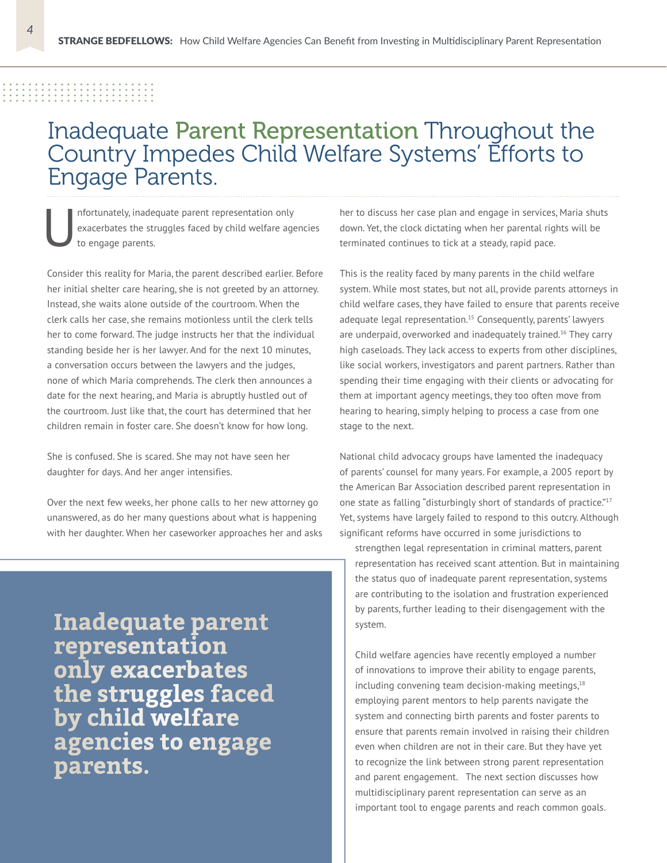### ---------------<br>--------------

#### Inadequate Parent Representation Throughout the Country Impedes Child Welfare Systems' Efforts to Engage Parents.

nfortunately, inadequate parent representation only exacerbates the struggles faced by child welfare agencies to engage parents.

Consider this reality for Maria, the parent described earlier. Before her initial shelter care hearing, she is not greeted by an attorney. Instead, she waits alone outside of the courtroom. When the clerk calls her case, she remains motionless until the clerk tells her to come forward. The judge instructs her that the individual standing beside her is her lawyer. And for the next 10 minutes, a conversation occurs between the lawyers and the judges, none of which Maria comprehends. The clerk then announces a date for the next hearing, and Maria is abruptly hustled out of the courtroom. Just like that, the court has determined that her children remain in foster care. She doesn't know for how long.

She is confused. She is scared. She may not have seen her daughter for days. And her anger intensifies.

Over the next few weeks, her phone calls to her new attorney go unanswered, as do her many questions about what is happening with her daughter. When her caseworker approaches her and asks

**Inadequate parent representation only exacerbates the struggles faced by child welfare agencies to engage parents.**

her to discuss her case plan and engage in services, Maria shuts down. Yet, the clock dictating when her parental rights will be terminated continues to tick at a steady, rapid pace.

This is the reality faced by many parents in the child welfare system. While most states, but not all, provide parents attorneys in child welfare cases, they have failed to ensure that parents receive adequate legal representation.<sup>15</sup> Consequently, parents' lawyers are underpaid, overworked and inadequately trained.<sup>16</sup> They carry high caseloads. They lack access to experts from other disciplines, like social workers, investigators and parent partners. Rather than spending their time engaging with their clients or advocating for them at important agency meetings, they too often move from hearing to hearing, simply helping to process a case from one stage to the next.

National child advocacy groups have lamented the inadequacy of parents' counsel for many years. For example, a 2005 report by the American Bar Association described parent representation in one state as falling "disturbingly short of standards of practice."<sup>17</sup> Yet, systems have largely failed to respond to this outcry. Although significant reforms have occurred in some jurisdictions to

strengthen legal representation in criminal matters, parent representation has received scant attention. But in maintaining the status quo of inadequate parent representation, systems are contributing to the isolation and frustration experienced by parents, further leading to their disengagement with the system.

Child welfare agencies have recently employed a number of innovations to improve their ability to engage parents, including convening team decision-making meetings,<sup>18</sup> employing parent mentors to help parents navigate the system and connecting birth parents and foster parents to ensure that parents remain involved in raising their children even when children are not in their care. But they have yet to recognize the link between strong parent representation and parent engagement. The next section discusses how multidisciplinary parent representation can serve as an important tool to engage parents and reach common goals.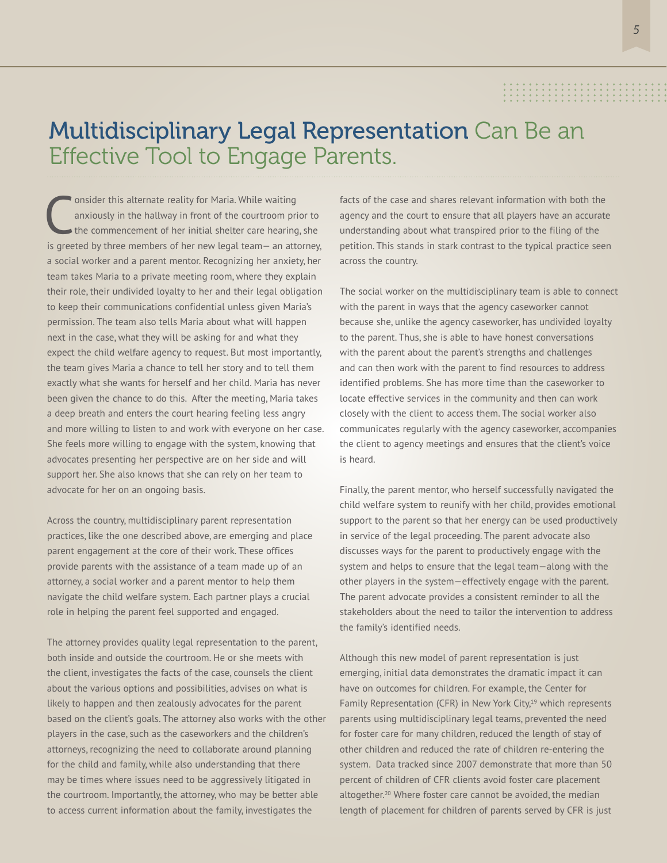#### 

#### Multidisciplinary Legal Representation Can Be an Effective Tool to Engage Parents.

C onsider this alternate reality for Maria. While waiting anxiously in the hallway in front of the courtroom prior to the commencement of her initial shelter care hearing, she is greeted by three members of her new legal team— an attorney, a social worker and a parent mentor. Recognizing her anxiety, her team takes Maria to a private meeting room, where they explain their role, their undivided loyalty to her and their legal obligation to keep their communications confidential unless given Maria's permission. The team also tells Maria about what will happen next in the case, what they will be asking for and what they expect the child welfare agency to request. But most importantly, the team gives Maria a chance to tell her story and to tell them exactly what she wants for herself and her child. Maria has never been given the chance to do this. After the meeting, Maria takes a deep breath and enters the court hearing feeling less angry and more willing to listen to and work with everyone on her case. She feels more willing to engage with the system, knowing that advocates presenting her perspective are on her side and will support her. She also knows that she can rely on her team to advocate for her on an ongoing basis.

Across the country, multidisciplinary parent representation practices, like the one described above, are emerging and place parent engagement at the core of their work. These offices provide parents with the assistance of a team made up of an attorney, a social worker and a parent mentor to help them navigate the child welfare system. Each partner plays a crucial role in helping the parent feel supported and engaged.

The attorney provides quality legal representation to the parent, both inside and outside the courtroom. He or she meets with the client, investigates the facts of the case, counsels the client about the various options and possibilities, advises on what is likely to happen and then zealously advocates for the parent based on the client's goals. The attorney also works with the other players in the case, such as the caseworkers and the children's attorneys, recognizing the need to collaborate around planning for the child and family, while also understanding that there may be times where issues need to be aggressively litigated in the courtroom. Importantly, the attorney, who may be better able to access current information about the family, investigates the

facts of the case and shares relevant information with both the agency and the court to ensure that all players have an accurate understanding about what transpired prior to the filing of the petition. This stands in stark contrast to the typical practice seen across the country.

The social worker on the multidisciplinary team is able to connect with the parent in ways that the agency caseworker cannot because she, unlike the agency caseworker, has undivided loyalty to the parent. Thus, she is able to have honest conversations with the parent about the parent's strengths and challenges and can then work with the parent to find resources to address identified problems. She has more time than the caseworker to locate effective services in the community and then can work closely with the client to access them. The social worker also communicates regularly with the agency caseworker, accompanies the client to agency meetings and ensures that the client's voice is heard.

Finally, the parent mentor, who herself successfully navigated the child welfare system to reunify with her child, provides emotional support to the parent so that her energy can be used productively in service of the legal proceeding. The parent advocate also discusses ways for the parent to productively engage with the system and helps to ensure that the legal team—along with the other players in the system—effectively engage with the parent. The parent advocate provides a consistent reminder to all the stakeholders about the need to tailor the intervention to address the family's identified needs.

Although this new model of parent representation is just emerging, initial data demonstrates the dramatic impact it can have on outcomes for children. For example, the Center for Family Representation (CFR) in New York City,<sup>19</sup> which represents parents using multidisciplinary legal teams, prevented the need for foster care for many children, reduced the length of stay of other children and reduced the rate of children re-entering the system. Data tracked since 2007 demonstrate that more than 50 percent of children of CFR clients avoid foster care placement altogether.<sup>20</sup> Where foster care cannot be avoided, the median length of placement for children of parents served by CFR is just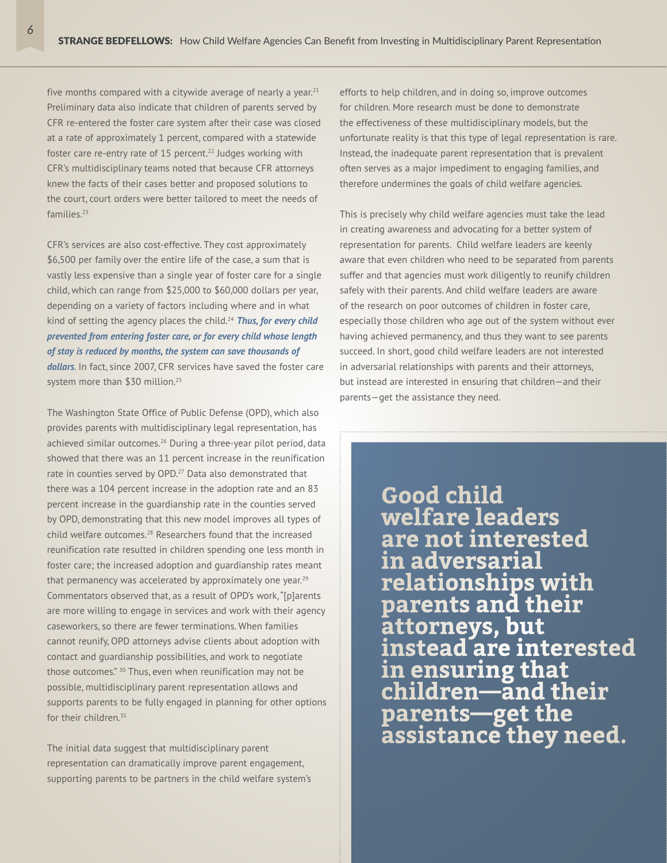five months compared with a citywide average of nearly a year. $21$ Preliminary data also indicate that children of parents served by CFR re-entered the foster care system after their case was closed at a rate of approximately 1 percent, compared with a statewide foster care re-entry rate of 15 percent.<sup>22</sup> Judges working with CFR's multidisciplinary teams noted that because CFR attorneys knew the facts of their cases better and proposed solutions to the court, court orders were better tailored to meet the needs of families<sup>23</sup>

CFR's services are also cost-effective. They cost approximately \$6,500 per family over the entire life of the case, a sum that is vastly less expensive than a single year of foster care for a single child, which can range from \$25,000 to \$60,000 dollars per year, depending on a variety of factors including where and in what kind of setting the agency places the child.24 *Thus, for every child prevented from entering foster care, or for every child whose length of stay is reduced by months, the system can save thousands of dollars*. In fact, since 2007, CFR services have saved the foster care

system more than \$30 million.<sup>25</sup>

The Washington State Office of Public Defense (OPD), which also provides parents with multidisciplinary legal representation, has achieved similar outcomes.<sup>26</sup> During a three-year pilot period, data showed that there was an 11 percent increase in the reunification rate in counties served by OPD.<sup>27</sup> Data also demonstrated that there was a 104 percent increase in the adoption rate and an 83 percent increase in the guardianship rate in the counties served by OPD, demonstrating that this new model improves all types of child welfare outcomes.28 Researchers found that the increased reunification rate resulted in children spending one less month in foster care; the increased adoption and guardianship rates meant that permanency was accelerated by approximately one year. $29$ Commentators observed that, as a result of OPD's work, "[p]arents are more willing to engage in services and work with their agency caseworkers, so there are fewer terminations. When families cannot reunify, OPD attorneys advise clients about adoption with contact and guardianship possibilities, and work to negotiate those outcomes." <sup>30</sup> Thus, even when reunification may not be possible, multidisciplinary parent representation allows and supports parents to be fully engaged in planning for other options for their children.<sup>31</sup>

The initial data suggest that multidisciplinary parent representation can dramatically improve parent engagement, supporting parents to be partners in the child welfare system's efforts to help children, and in doing so, improve outcomes for children. More research must be done to demonstrate the effectiveness of these multidisciplinary models, but the unfortunate reality is that this type of legal representation is rare. Instead, the inadequate parent representation that is prevalent often serves as a major impediment to engaging families, and therefore undermines the goals of child welfare agencies.

This is precisely why child welfare agencies must take the lead in creating awareness and advocating for a better system of representation for parents. Child welfare leaders are keenly aware that even children who need to be separated from parents suffer and that agencies must work diligently to reunify children safely with their parents. And child welfare leaders are aware of the research on poor outcomes of children in foster care, especially those children who age out of the system without ever having achieved permanency, and thus they want to see parents succeed. In short, good child welfare leaders are not interested in adversarial relationships with parents and their attorneys, but instead are interested in ensuring that children—and their parents—get the assistance they need.

> **Good child welfare leaders are not interested in adversarial relationships with parents and their attorneys, but instead are interested in ensuring that children—and their parents—get the assistance they need.**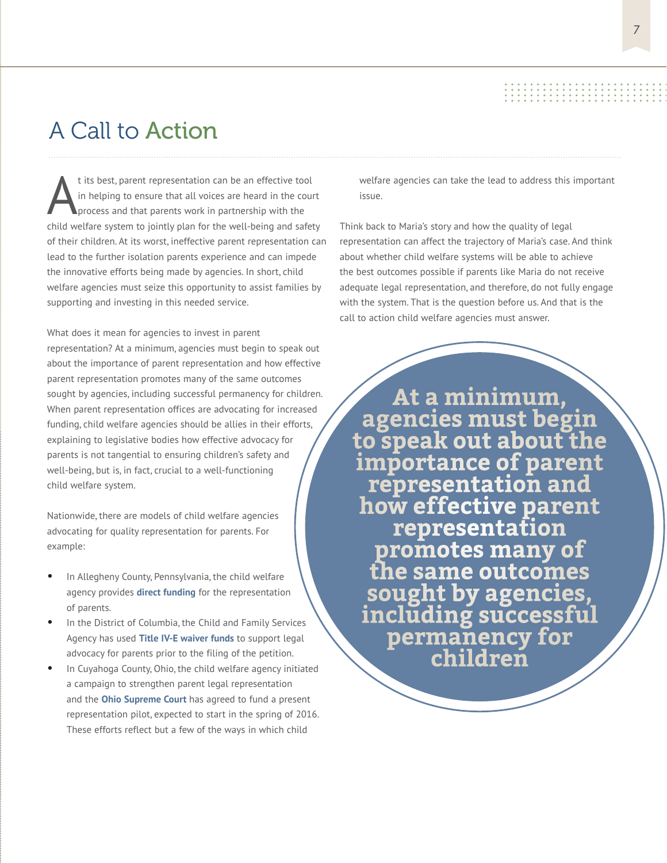#### A Call to Action

t its best, parent representation can be an effective tool in helping to ensure that all voices are heard in the court process and that parents work in partnership with the child welfare system to jointly plan for the well-being and safety of their children. At its worst, ineffective parent representation can lead to the further isolation parents experience and can impede the innovative efforts being made by agencies. In short, child welfare agencies must seize this opportunity to assist families by supporting and investing in this needed service.

What does it mean for agencies to invest in parent representation? At a minimum, agencies must begin to speak out about the importance of parent representation and how effective parent representation promotes many of the same outcomes sought by agencies, including successful permanency for children. When parent representation offices are advocating for increased funding, child welfare agencies should be allies in their efforts, explaining to legislative bodies how effective advocacy for parents is not tangential to ensuring children's safety and well-being, but is, in fact, crucial to a well-functioning child welfare system.

Nationwide, there are models of child welfare agencies advocating for quality representation for parents. For example:

- In Allegheny County, Pennsylvania, the child welfare agency provides **direct funding** for the representation of parents.
- In the District of Columbia, the Child and Family Services Agency has used **Title IV-E waiver funds** to support legal advocacy for parents prior to the filing of the petition.
- In Cuyahoga County, Ohio, the child welfare agency initiated a campaign to strengthen parent legal representation and the **Ohio Supreme Court** has agreed to fund a present representation pilot, expected to start in the spring of 2016. These efforts reflect but a few of the ways in which child

welfare agencies can take the lead to address this important issue.

Think back to Maria's story and how the quality of legal representation can affect the trajectory of Maria's case. And think about whether child welfare systems will be able to achieve the best outcomes possible if parents like Maria do not receive adequate legal representation, and therefore, do not fully engage with the system. That is the question before us. And that is the call to action child welfare agencies must answer.

**At a minimum, agencies must begin to speak out about the importance of parent representation and how effective parent representation promotes many of the same outcomes sought by agencies, including successful permanency for children**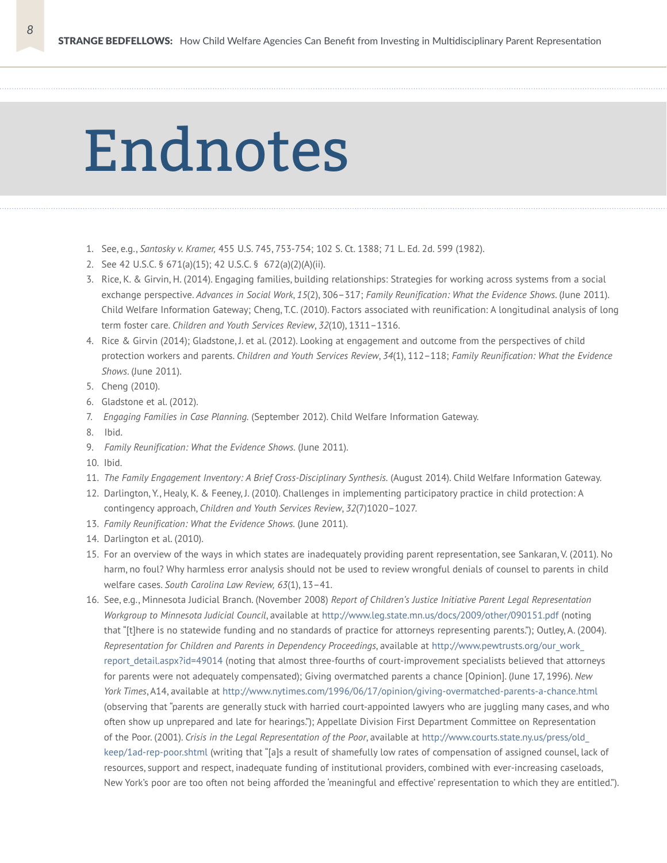### Endnotes

- 1. See, e.g., *Santosky v. Kramer,* 455 U.S. 745, 753-754; 102 S. Ct. 1388; 71 L. Ed. 2d. 599 (1982).
- 2. See 42 U.S.C. § 671(a)(15); 42 U.S.C. § 672(a)(2)(A)(ii).
- 3. Rice, K. & Girvin, H. (2014). Engaging families, building relationships: Strategies for working across systems from a social exchange perspective. *Advances in Social Work*, *15*(2), 306–317; *Family Reunification: What the Evidence Shows*. (June 2011). Child Welfare Information Gateway; Cheng, T.C. (2010). Factors associated with reunification: A longitudinal analysis of long term foster care. *Children and Youth Services Review*, *32*(10), 1311–1316.
- 4. Rice & Girvin (2014); Gladstone, J. et al. (2012). Looking at engagement and outcome from the perspectives of child protection workers and parents. *Children and Youth Services Review*, *34*(1), 112–118; *Family Reunification: What the Evidence Shows*. (June 2011).
- 5. Cheng (2010).
- 6. Gladstone et al. (2012).
- 7. *Engaging Families in Case Planning.* (September 2012). Child Welfare Information Gateway.
- 8. Ibid.
- 9. *Family Reunification: What the Evidence Shows.* (June 2011).
- 10. Ibid.
- 11. *The Family Engagement Inventory: A Brief Cross-Disciplinary Synthesis.* (August 2014). Child Welfare Information Gateway.
- 12. Darlington, Y., Healy, K. & Feeney, J. (2010). Challenges in implementing participatory practice in child protection: A contingency approach, *Children and Youth Services Review*, *32*(7)1020–1027.
- 13. *Family Reunification: What the Evidence Shows.* (June 2011).
- 14. Darlington et al. (2010).
- 15. For an overview of the ways in which states are inadequately providing parent representation, see Sankaran, V. (2011). No harm, no foul? Why harmless error analysis should not be used to review wrongful denials of counsel to parents in child welfare cases. *South Carolina Law Review, 63*(1), 13–41.
- 16. See, e.g., Minnesota Judicial Branch. (November 2008) *Report of Children's Justice Initiative Parent Legal Representation Workgroup to Minnesota Judicial Council*, available at http://www.leg.state.mn.us/docs/2009/other/090151.pdf (noting that "[t]here is no statewide funding and no standards of practice for attorneys representing parents."); Outley, A. (2004). *Representation for Children and Parents in Dependency Proceedings*, available at http://www.pewtrusts.org/our\_work\_ report detail.aspx?id=49014 (noting that almost three-fourths of court-improvement specialists believed that attorneys for parents were not adequately compensated); Giving overmatched parents a chance [Opinion]. (June 17, 1996). *New York Times*, A14, available at http://www.nytimes.com/1996/06/17/opinion/giving-overmatched-parents-a-chance.html (observing that "parents are generally stuck with harried court-appointed lawyers who are juggling many cases, and who often show up unprepared and late for hearings."); Appellate Division First Department Committee on Representation of the Poor. (2001). *Crisis in the Legal Representation of the Poor*, available at http://www.courts.state.ny.us/press/old\_ keep/1ad-rep-poor.shtml (writing that "[a]s a result of shamefully low rates of compensation of assigned counsel, lack of resources, support and respect, inadequate funding of institutional providers, combined with ever-increasing caseloads, New York's poor are too often not being afforded the 'meaningful and effective' representation to which they are entitled.").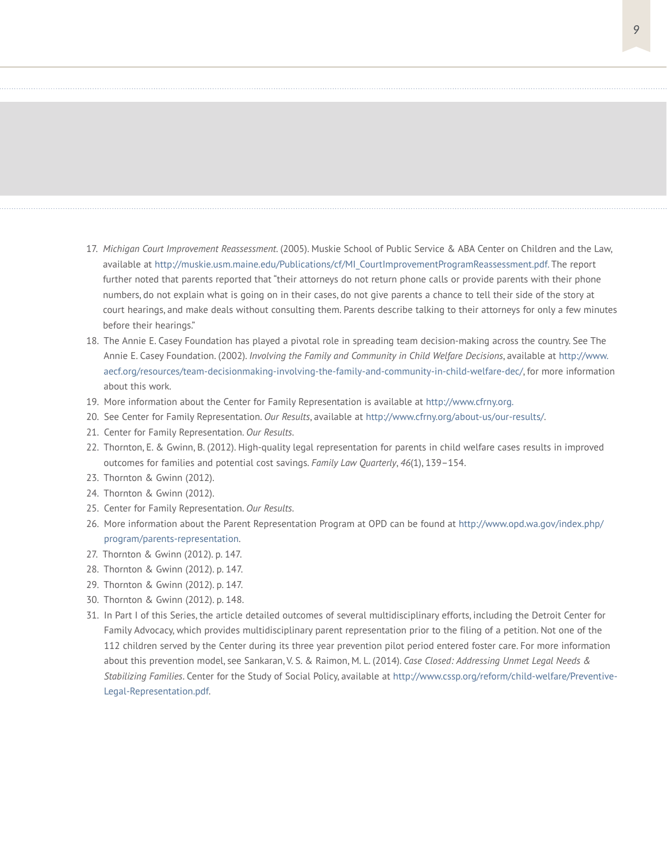- 17. *Michigan Court Improvement Reassessment*. (2005). Muskie School of Public Service & ABA Center on Children and the Law, available at http://muskie.usm.maine.edu/Publications/cf/MI\_CourtImprovementProgramReassessment.pdf. The report further noted that parents reported that "their attorneys do not return phone calls or provide parents with their phone numbers, do not explain what is going on in their cases, do not give parents a chance to tell their side of the story at court hearings, and make deals without consulting them. Parents describe talking to their attorneys for only a few minutes before their hearings."
- 18. The Annie E. Casey Foundation has played a pivotal role in spreading team decision-making across the country. See The Annie E. Casey Foundation. (2002). *Involving the Family and Community in Child Welfare Decisions*, available at http://www. aecf.org/resources/team-decisionmaking-involving-the-family-and-community-in-child-welfare-dec/, for more information about this work.
- 19. More information about the Center for Family Representation is available at http://www.cfrny.org.
- 20. See Center for Family Representation. *Our Results*, available at http://www.cfrny.org/about-us/our-results/.
- 21. Center for Family Representation. *Our Results*.
- 22. Thornton, E. & Gwinn, B. (2012). High-quality legal representation for parents in child welfare cases results in improved outcomes for families and potential cost savings. *Family Law Quarterly*, *46*(1), 139–154.
- 23. Thornton & Gwinn (2012).
- 24. Thornton & Gwinn (2012).
- 25. Center for Family Representation. *Our Results*.
- 26. More information about the Parent Representation Program at OPD can be found at http://www.opd.wa.gov/index.php/ program/parents-representation.
- 27. Thornton & Gwinn (2012). p. 147.
- 28. Thornton & Gwinn (2012). p. 147.
- 29. Thornton & Gwinn (2012). p. 147.
- 30. Thornton & Gwinn (2012). p. 148.
- 31. In Part I of this Series, the article detailed outcomes of several multidisciplinary efforts, including the Detroit Center for Family Advocacy, which provides multidisciplinary parent representation prior to the filing of a petition. Not one of the 112 children served by the Center during its three year prevention pilot period entered foster care. For more information about this prevention model, see Sankaran, V. S. & Raimon, M. L. (2014). *Case Closed: Addressing Unmet Legal Needs & Stabilizing Families*. Center for the Study of Social Policy, available at http://www.cssp.org/reform/child-welfare/Preventive-Legal-Representation.pdf.